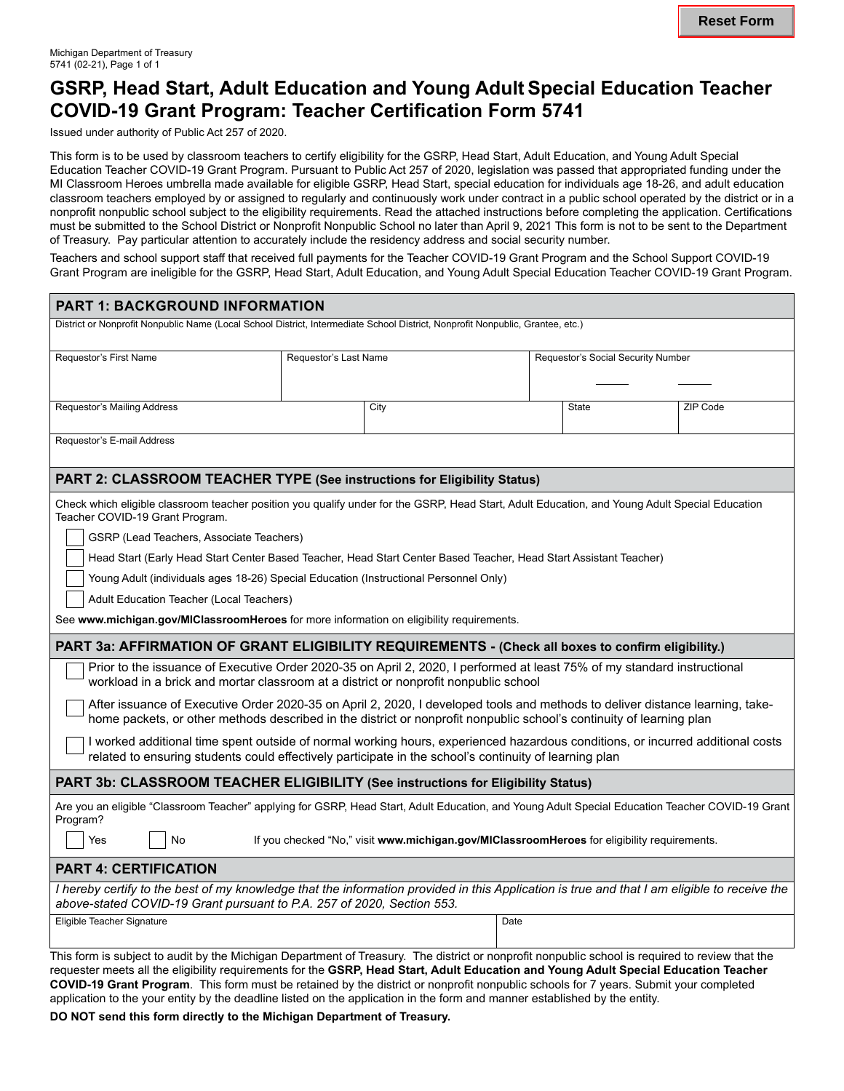# **GSRP, Head Start, Adult Education and Young Adult Special Education Teacher COVID-19 Grant Program: Teacher Certification Form 5741**

Issued under authority of Public Act 257 of 2020.

This form is to be used by classroom teachers to certify eligibility for the GSRP, Head Start, Adult Education, and Young Adult Special Education Teacher COVID-19 Grant Program. Pursuant to Public Act 257 of 2020, legislation was passed that appropriated funding under the MI Classroom Heroes umbrella made available for eligible GSRP, Head Start, special education for individuals age 18-26, and adult education classroom teachers employed by or assigned to regularly and continuously work under contract in a public school operated by the district or in a nonprofit nonpublic school subject to the eligibility requirements. Read the attached instructions before completing the application. Certifications must be submitted to the School District or Nonprofit Nonpublic School no later than April 9, 2021 This form is not to be sent to the Department of Treasury. Pay particular attention to accurately include the residency address and social security number.

Teachers and school support staff that received full payments for the Teacher COVID-19 Grant Program and the School Support COVID-19 Grant Program are ineligible for the GSRP, Head Start, Adult Education, and Young Adult Special Education Teacher COVID-19 Grant Program.

| PART 1: BACKGROUND INFORMATION                                                                                                                                                                                                                                                         |  |      |      |                                    |          |  |
|----------------------------------------------------------------------------------------------------------------------------------------------------------------------------------------------------------------------------------------------------------------------------------------|--|------|------|------------------------------------|----------|--|
| District or Nonprofit Nonpublic Name (Local School District, Intermediate School District, Nonprofit Nonpublic, Grantee, etc.)                                                                                                                                                         |  |      |      |                                    |          |  |
| Requestor's First Name<br>Requestor's Last Name                                                                                                                                                                                                                                        |  |      |      | Requestor's Social Security Number |          |  |
|                                                                                                                                                                                                                                                                                        |  |      |      |                                    |          |  |
| Requestor's Mailing Address                                                                                                                                                                                                                                                            |  | City |      | State                              | ZIP Code |  |
| Requestor's E-mail Address                                                                                                                                                                                                                                                             |  |      |      |                                    |          |  |
| PART 2: CLASSROOM TEACHER TYPE (See instructions for Eligibility Status)                                                                                                                                                                                                               |  |      |      |                                    |          |  |
| Check which eligible classroom teacher position you qualify under for the GSRP, Head Start, Adult Education, and Young Adult Special Education<br>Teacher COVID-19 Grant Program.                                                                                                      |  |      |      |                                    |          |  |
| GSRP (Lead Teachers, Associate Teachers)                                                                                                                                                                                                                                               |  |      |      |                                    |          |  |
| Head Start (Early Head Start Center Based Teacher, Head Start Center Based Teacher, Head Start Assistant Teacher)                                                                                                                                                                      |  |      |      |                                    |          |  |
| Young Adult (individuals ages 18-26) Special Education (Instructional Personnel Only)                                                                                                                                                                                                  |  |      |      |                                    |          |  |
| Adult Education Teacher (Local Teachers)                                                                                                                                                                                                                                               |  |      |      |                                    |          |  |
| See www.michigan.gov/MIClassroomHeroes for more information on eligibility requirements.                                                                                                                                                                                               |  |      |      |                                    |          |  |
| PART 3a: AFFIRMATION OF GRANT ELIGIBILITY REQUIREMENTS - (Check all boxes to confirm eligibility.)                                                                                                                                                                                     |  |      |      |                                    |          |  |
| Prior to the issuance of Executive Order 2020-35 on April 2, 2020, I performed at least 75% of my standard instructional<br>workload in a brick and mortar classroom at a district or nonprofit nonpublic school                                                                       |  |      |      |                                    |          |  |
| After issuance of Executive Order 2020-35 on April 2, 2020, I developed tools and methods to deliver distance learning, take-<br>home packets, or other methods described in the district or nonprofit nonpublic school's continuity of learning plan                                  |  |      |      |                                    |          |  |
| I worked additional time spent outside of normal working hours, experienced hazardous conditions, or incurred additional costs<br>related to ensuring students could effectively participate in the school's continuity of learning plan                                               |  |      |      |                                    |          |  |
| PART 3b: CLASSROOM TEACHER ELIGIBILITY (See instructions for Eligibility Status)                                                                                                                                                                                                       |  |      |      |                                    |          |  |
| Are you an eligible "Classroom Teacher" applying for GSRP, Head Start, Adult Education, and Young Adult Special Education Teacher COVID-19 Grant<br>Program?                                                                                                                           |  |      |      |                                    |          |  |
| No<br>If you checked "No," visit www.michigan.gov/MIClassroomHeroes for eligibility requirements.<br>Yes                                                                                                                                                                               |  |      |      |                                    |          |  |
| <b>PART 4: CERTIFICATION</b>                                                                                                                                                                                                                                                           |  |      |      |                                    |          |  |
| I hereby certify to the best of my knowledge that the information provided in this Application is true and that I am eligible to receive the<br>above-stated COVID-19 Grant pursuant to P.A. 257 of 2020, Section 553.                                                                 |  |      |      |                                    |          |  |
| Eligible Teacher Signature                                                                                                                                                                                                                                                             |  |      | Date |                                    |          |  |
| This form is subject to audit by the Michigan Department of Treasury. The district or nonprofit nonpublic school is required to review that the<br>requester meets all the eligibility requirements for the GSRP Head Start, Adult Education and Young Adult Special Education Teacher |  |      |      |                                    |          |  |

requester meets all the eligibility requirements for the **GSRP, Head Start, Adult Education and Young Adult Special Education Teacher COVID-19 Grant Program**. This form must be retained by the district or nonprofit nonpublic schools for 7 years. Submit your completed application to the your entity by the deadline listed on the application in the form and manner established by the entity.

**DO NOT send this form directly to the Michigan Department of Treasury.**